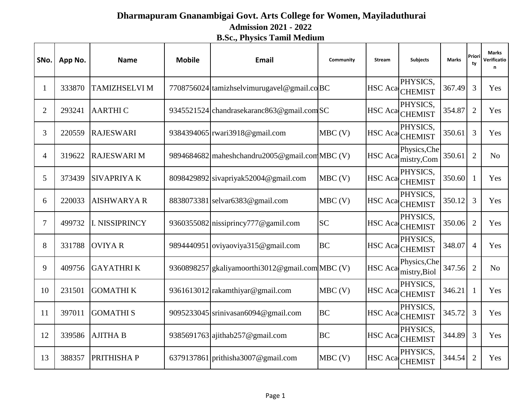## **Dharmapuram Gnanambigai Govt. Arts College for Women, Mayiladuthurai B.Sc., Physics Tamil Medium Admission 2021 - 2022**

| SNo.           | App No. | <b>Name</b>           | <b>Mobile</b> | <b>Email</b>                                    | Community | <b>Stream</b>  | <b>Subjects</b>              | <b>Marks</b> | Priori<br>tv   | <b>Marks</b><br>Verificatio<br>n |
|----------------|---------|-----------------------|---------------|-------------------------------------------------|-----------|----------------|------------------------------|--------------|----------------|----------------------------------|
| 1              | 333870  | <b>TAMIZHSELVI M</b>  |               | 7708756024 tamizhselvimurugavel@gmail.coBC      |           | <b>HSC</b> Aca | PHYSICS.<br><b>CHEMIST</b>   | 367.49       | 3              | Yes                              |
| $\overline{2}$ | 293241  | <b>AARTHIC</b>        |               | 9345521524 chandrasekaranc863@gmail.com SC      |           | <b>HSC</b> Aca | PHYSICS.<br><b>CHEMIST</b>   | 354.87       | $\overline{2}$ | Yes                              |
| 3              | 220559  | <b>RAJESWARI</b>      |               | 9384394065 rwari3918@gmail.com                  | $MBC$ (V) |                | PHYSICS,<br>HSC Aca CHEMIST  | 350.61       | 3              | Yes                              |
| $\overline{4}$ | 319622  | <b>RAJESWARI M</b>    |               | 9894684682 maheshchandru2005@gmail.com MBC (V)  |           | <b>HSC</b> Aca | Physics, Che<br>mistry,Com   | 350.61       | $\overline{2}$ | N <sub>o</sub>                   |
| 5              | 373439  | <b>SIVAPRIYAK</b>     |               | 8098429892 sivapriyak52004@gmail.com            | $MBC$ (V) |                | PHYSICS.<br>HSC Aca CHEMIST  | 350.60       | 1              | Yes                              |
| 6              | 220033  | <b>AISHWARYA R</b>    |               | 8838073381 selvar6383@gmail.com                 | $MBC$ (V) | <b>HSC</b> Aca | PHYSICS.<br><b>CHEMIST</b>   | 350.12       | 3              | Yes                              |
| 7              | 499732  | <b>I. NISSIPRINCY</b> |               | 9360355082 nissiprincy 777 $@$ gamil.com        | <b>SC</b> |                | PHYSICS.<br>HSC Aca CHEMIST  | 350.06       | $\overline{2}$ | Yes                              |
| 8              | 331788  | <b>OVIYAR</b>         |               | 9894440951 oviyaoviya315@gmail.com              | <b>BC</b> | <b>HSC</b> Aca | PHYSICS,<br><b>CHEMIST</b>   | 348.07       | $\overline{4}$ | Yes                              |
| 9              | 409756  | <b>GAYATHRIK</b>      |               | 9360898257 gkaliyamoorthi3012@gmail.com MBC (V) |           | <b>HSC</b> Aca | Physics, Che<br>mistry, Biol | 347.56       | $\overline{2}$ | N <sub>o</sub>                   |
| 10             | 231501  | <b>GOMATHIK</b>       |               | 9361613012 rakamthiyar@gmail.com                | $MBC$ (V) | <b>HSC</b> Aca | PHYSICS,<br><b>CHEMIST</b>   | 346.21       | $\mathbf{1}$   | Yes                              |
| 11             | 397011  | <b>GOMATHIS</b>       |               | 9095233045 srinivasan6094@gmail.com             | <b>BC</b> |                | PHYSICS,<br>HSC Aca CHEMIST  | 345.72       | $\overline{3}$ | Yes                              |
| 12             | 339586  | <b>AJITHA B</b>       |               | 9385691763 ajithab257@gmail.com                 | <b>BC</b> | HSC Aca        | PHYSICS,<br><b>CHEMIST</b>   | 344.89       | 3              | Yes                              |
| 13             | 388357  | PRITHISHA P           |               | 6379137861 prithisha3007@gmail.com              | $MBC$ (V) | HSC Aca        | PHYSICS.<br><b>CHEMIST</b>   | 344.54       | $\overline{2}$ | Yes                              |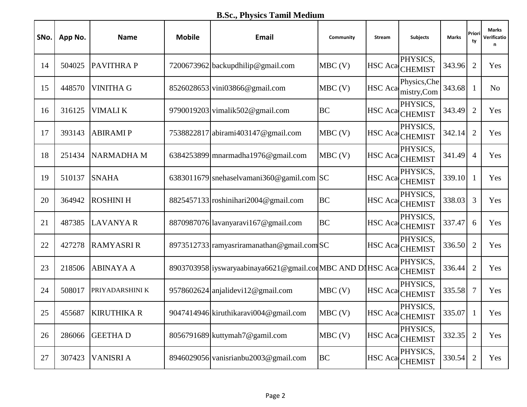**B.Sc., Physics Tamil Medium** 

| SNo. | App No. | <b>Name</b>        | <b>Mobile</b> | Email                                                      | Community | <b>Stream</b>  | <b>Subjects</b>                     | Marks  | Priori<br>ty   | Marks<br>Verificatio<br>n |
|------|---------|--------------------|---------------|------------------------------------------------------------|-----------|----------------|-------------------------------------|--------|----------------|---------------------------|
| 14   | 504025  | <b>PAVITHRAP</b>   |               | 7200673962 backupdhilip@gmail.com                          | $MBC$ (V) |                | PHYSICS,<br>HSC Aca CHEMIST         | 343.96 | $\overline{2}$ | Yes                       |
| 15   | 448570  | <b>VINITHA G</b>   |               | 8526028653 vini03866@gmail.com                             | $MBC$ (V) |                | Physics, Che<br>HSC Aca mistry, Com | 343.68 | 1              | N <sub>o</sub>            |
| 16   | 316125  | <b>VIMALIK</b>     |               | 9790019203 vimalik502@gmail.com                            | <b>BC</b> | <b>HSC</b> Aca | PHYSICS,<br><b>CHEMIST</b>          | 343.49 | $\overline{2}$ | Yes                       |
| 17   | 393143  | <b>ABIRAMIP</b>    |               | 7538822817 abirami403147@gmail.com                         | $MBC$ (V) |                | PHYSICS,<br>HSC Aca CHEMIST         | 342.14 | $\overline{2}$ | Yes                       |
| 18   | 251434  | <b>NARMADHA M</b>  |               | 6384253899 mnarmadha1976@gmail.com                         | $MBC$ (V) |                | PHYSICS,<br>HSC Aca CHEMIST         | 341.49 | $\overline{4}$ | Yes                       |
| 19   | 510137  | <b>SNAHA</b>       |               | 6383011679 snehaselvamani360@gamil.com $ SC$               |           |                | PHYSICS,<br>HSC Aca CHEMIST         | 339.10 |                | Yes                       |
| 20   | 364942  | <b>ROSHINI H</b>   |               | $8825457133$ roshinihari2004@gmail.com                     | <b>BC</b> |                | PHYSICS,<br>HSC Aca CHEMIST         | 338.03 | 3              | Yes                       |
| 21   | 487385  | <b>LAVANYA R</b>   |               | 8870987076 lavanyaravi167@gmail.com                        | <b>BC</b> |                | PHYSICS,<br>HSC Aca CHEMIST         | 337.47 | 6              | Yes                       |
| 22   | 427278  | <b>RAMYASRI R</b>  |               | 8973512733 ramyasriramanathan@gmail.com SC                 |           | HSC Aca        | PHYSICS,<br><b>CHEMIST</b>          | 336.50 | $\overline{2}$ | Yes                       |
| 23   | 218506  | <b>ABINAYA A</b>   |               | 8903703958 iyswaryaabinaya6621@gmail.com MBC AND DIHSC Aca |           |                | PHYSICS,<br><b>CHEMIST</b>          | 336.44 | $\overline{2}$ | Yes                       |
| 24   | 508017  | PRIYADARSHINI K    |               | 9578602624 anjalidevi12@gmail.com                          | $MBC$ (V) | <b>HSC</b> Aca | PHYSICS,<br><b>CHEMIST</b>          | 335.58 | $\tau$         | Yes                       |
| 25   | 455687  | <b>KIRUTHIKA R</b> |               | 9047414946 kiruthikaravi004@gmail.com                      | $MBC$ (V) |                | PHYSICS,<br>HSC Aca CHEMIST         | 335.07 | 1              | Yes                       |
| 26   | 286066  | <b>GEETHAD</b>     |               | 8056791689 kuttymah7@gamil.com                             | $MBC$ (V) | <b>HSC</b> Aca | PHYSICS,<br><b>CHEMIST</b>          | 332.35 | $\overline{2}$ | Yes                       |
| 27   | 307423  | <b>VANISRI A</b>   |               | 8946029056 vanisrianbu2003@gmail.com                       | <b>BC</b> | <b>HSC</b> Aca | PHYSICS,<br><b>CHEMIST</b>          | 330.54 | $\overline{2}$ | Yes                       |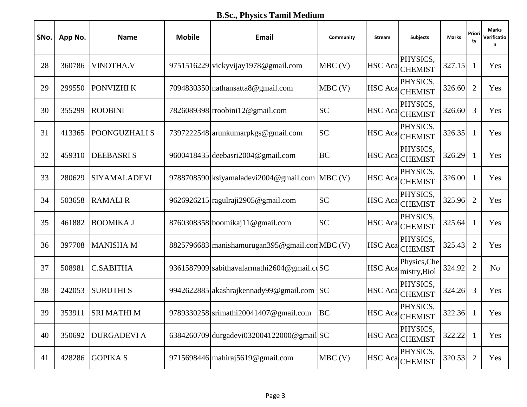**B.Sc., Physics Tamil Medium** 

| SNo. | App No. | <b>Name</b>         | <b>Mobile</b> | Email                                              | Community | <b>Stream</b>  | <b>Subjects</b>              | Marks  | Priori<br>ty   | Marks<br>Verificatio<br>n |
|------|---------|---------------------|---------------|----------------------------------------------------|-----------|----------------|------------------------------|--------|----------------|---------------------------|
| 28   | 360786  | <b>VINOTHA.V</b>    |               | 9751516229 vickyvijay1978@gmail.com                | $MBC$ (V) |                | PHYSICS,<br>HSC Aca CHEMIST  | 327.15 | 1              | Yes                       |
| 29   | 299550  | PONVIZHI K          |               | 7094830350 nathansatta8@gmail.com                  | $MBC$ (V) |                | PHYSICS,<br>HSC Aca CHEMIST  | 326.60 | $\overline{2}$ | Yes                       |
| 30   | 355299  | <b>ROOBINI</b>      |               | 7826089398 rroobini12@gmail.com                    | <b>SC</b> | <b>HSC</b> Aca | PHYSICS,<br><b>CHEMIST</b>   | 326.60 | 3              | Yes                       |
| 31   | 413365  | POONGUZHALI S       |               | 7397222548 arunkumarpkgs@gmail.com                 | <b>SC</b> |                | PHYSICS,<br>HSC Aca CHEMIST  | 326.35 | 1              | Yes                       |
| 32   | 459310  | <b>DEEBASRIS</b>    |               | 9600418435 deebasri2004@gmail.com                  | <b>BC</b> | <b>HSC</b> Aca | PHYSICS,<br><b>CHEMIST</b>   | 326.29 | 1              | Yes                       |
| 33   | 280629  | <b>SIYAMALADEVI</b> |               | 9788708590 ksiyamaladevi $2004@$ gmail.com MBC (V) |           | <b>HSC</b> Aca | PHYSICS,<br><b>CHEMIST</b>   | 326.00 | $\mathbf{1}$   | Yes                       |
| 34   | 503658  | <b>RAMALIR</b>      |               | 9626926215 ragulraji2905@gmail.com                 | <b>SC</b> |                | PHYSICS,<br>HSC Aca CHEMIST  | 325.96 | $\overline{2}$ | Yes                       |
| 35   | 461882  | <b>BOOMIKA J</b>    |               | 8760308358 boomikaj 11 @gmail.com                  | <b>SC</b> | <b>HSC</b> Aca | PHYSICS,<br><b>CHEMIST</b>   | 325.64 | 1              | Yes                       |
| 36   | 397708  | <b>MANISHAM</b>     |               | 8825796683 manishamurugan 395@gmail.com MBC (V)    |           | <b>HSC</b> Aca | PHYSICS,<br><b>CHEMIST</b>   | 325.43 | $\overline{2}$ | Yes                       |
| 37   | 508981  | <b>C.SABITHA</b>    |               | 9361587909 sabithavalarmathi2604@gmail.cdSC        |           | <b>HSC</b> Aca | Physics, Che<br>mistry, Biol | 324.92 | $\overline{2}$ | N <sub>o</sub>            |
| 38   | 242053  | <b>SURUTHIS</b>     |               | 9942622885 akashrajkennady99@gmail.com SC          |           | <b>HSC</b> Aca | PHYSICS,<br><b>CHEMIST</b>   | 324.26 | 3              | Yes                       |
| 39   | 353911  | <b>SRI MATHI M</b>  |               | 9789330258 srimathi20041407@gmail.com              | <b>BC</b> |                | PHYSICS,<br>HSC Aca CHEMIST  | 322.36 | -1             | Yes                       |
| 40   | 350692  | <b>DURGADEVI A</b>  |               | 6384260709 durgadevi032004122000@gmail SC          |           | <b>HSC</b> Aca | PHYSICS,<br><b>CHEMIST</b>   | 322.22 | 1              | Yes                       |
| 41   | 428286  | <b>GOPIKA S</b>     |               | 9715698446 mahiraj5619@gmail.com                   | $MBC$ (V) | <b>HSC</b> Aca | PHYSICS,<br><b>CHEMIST</b>   | 320.53 | $\overline{2}$ | Yes                       |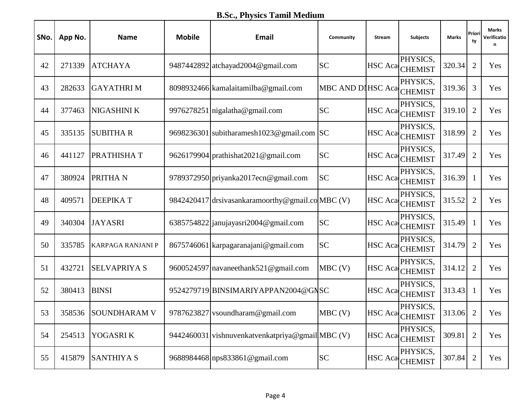**B.Sc., Physics Tamil Medium** 

| SNo. | App No. | <b>Name</b>              | <b>Mobile</b> | Email                                            | Community                 | <b>Stream</b>  | <b>Subjects</b>             | Marks  | Priori<br>tv   | <b>Marks</b><br>Verificatio<br>n |
|------|---------|--------------------------|---------------|--------------------------------------------------|---------------------------|----------------|-----------------------------|--------|----------------|----------------------------------|
| 42   | 271339  | <b>ATCHAYA</b>           |               | 9487442892 atchayad2004@gmail.com                | <b>SC</b>                 |                | PHYSICS,<br>HSC Aca CHEMIST | 320.34 | $\overline{2}$ | Yes                              |
| 43   | 282633  | <b>GAYATHRIM</b>         |               | 8098932466 kamalaitamilba@gmail.com              | MBC AND DIHSC Aca CHEMIST |                | PHYSICS,                    | 319.36 | 3              | Yes                              |
| 44   | 377463  | NIGASHINI K              |               | 9976278251 nigalatha@gmail.com                   | <b>SC</b>                 | <b>HSC</b> Aca | PHYSICS.<br><b>CHEMIST</b>  | 319.10 | $\overline{2}$ | Yes                              |
| 45   | 335135  | <b>SUBITHAR</b>          |               | 9698236301 subitharamesh1023@gmail.com SC        |                           | <b>HSC</b> Aca | PHYSICS,<br><b>CHEMIST</b>  | 318.99 | $\overline{2}$ | Yes                              |
| 46   | 441127  | PRATHISHAT               |               | 9626179904 prathishat 2021@gmail.com             | <b>SC</b>                 | <b>HSC</b> Aca | PHYSICS.<br><b>CHEMIST</b>  | 317.49 | $\overline{2}$ | Yes                              |
| 47   | 380924  | PRITHA N                 |               | 9789372950 priyanka2017ecn@gmail.com             | <b>SC</b>                 | <b>HSC</b> Aca | PHYSICS.<br><b>CHEMIST</b>  | 316.39 | 1              | Yes                              |
| 48   | 409571  | <b>DEEPIKAT</b>          |               | 9842420417 drsivasankaramoorthy@gmail.coMBC (V)  |                           |                | PHYSICS,<br>HSC Aca CHEMIST | 315.52 | $\overline{2}$ | Yes                              |
| 49   | 340304  | <b>JAYASRI</b>           |               | 6385754822 janujayasri2004@gmail.com             | <b>SC</b>                 | <b>HSC</b> Aca | PHYSICS,<br><b>CHEMIST</b>  | 315.49 | 1              | Yes                              |
| 50   | 335785  | <b>KARPAGA RANJANI P</b> |               | 8675746061 karpagaranajani@gmail.com             | <b>SC</b>                 | <b>HSC</b> Aca | PHYSICS,<br><b>CHEMIST</b>  | 314.79 | $\overline{2}$ | Yes                              |
| 51   | 432721  | <b>SELVAPRIYA S</b>      |               | 9600524597 navaneethank521@gmail.com             | $MBC$ (V)                 |                | PHYSICS,<br>HSC Aca CHEMIST | 314.12 | $\overline{2}$ | Yes                              |
| 52   | 380413  | <b>BINSI</b>             |               | 9524279719 BINSIMARIYAPPAN2004@GNSC              |                           | <b>HSC</b> Aca | PHYSICS.<br><b>CHEMIST</b>  | 313.43 | $\mathbf{1}$   | Yes                              |
| 53   | 358536  | <b>SOUNDHARAM V</b>      |               | 9787623827 vsoundharam@gmail.com                 | $MBC$ (V)                 |                | PHYSICS,<br>HSC Aca CHEMIST | 313.06 | $\overline{2}$ | Yes                              |
| 54   | 254513  | YOGASRI K                |               | 9442460031 vishnuvenkatvenkatpriya@gmail MBC (V) |                           | <b>HSC</b> Aca | PHYSICS,<br><b>CHEMIST</b>  | 309.81 | $\overline{2}$ | Yes                              |
| 55   | 415879  | <b>SANTHIYA S</b>        |               | 9688984468 nps833861@gmail.com                   | ${\rm SC}$                | <b>HSC</b> Aca | PHYSICS,<br><b>CHEMIST</b>  | 307.84 | $\overline{2}$ | Yes                              |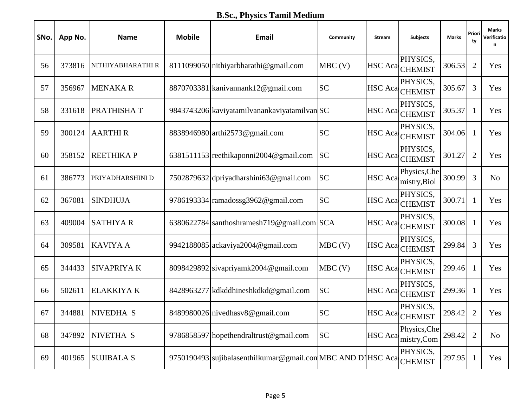**B.Sc., Physics Tamil Medium** 

| SNo. | App No. | <b>Name</b>          | <b>Mobile</b> | Email                                                       | Community | <b>Stream</b>  | <b>Subjects</b>              | Marks  | Priori<br>ty   | Marks<br>Verificatio<br>n |
|------|---------|----------------------|---------------|-------------------------------------------------------------|-----------|----------------|------------------------------|--------|----------------|---------------------------|
| 56   | 373816  | NITHIYABHARATHI R    |               | 8111099050 nithiyarbharathi@gmail.com                       | $MBC$ (V) |                | PHYSICS,<br>HSC Aca CHEMIST  | 306.53 | $\overline{2}$ | Yes                       |
| 57   | 356967  | <b>MENAKAR</b>       |               | 8870703381 kanivannank12@gmail.com                          | <b>SC</b> |                | PHYSICS,<br>HSC Aca CHEMIST  | 305.67 | 3              | Yes                       |
| 58   | 331618  | PRATHISHAT           |               | 9843743206 kaviyatamilyanankaviyatamilyan                   |           | <b>HSC</b> Aca | PHYSICS,<br><b>CHEMIST</b>   | 305.37 | 1              | Yes                       |
| 59   | 300124  | <b>AARTHIR</b>       |               | 8838946980 arthi2573@gmail.com                              | <b>SC</b> |                | PHYSICS,<br>HSC Aca CHEMIST  | 304.06 | 1              | Yes                       |
| 60   | 358152  | <b>REETHIKAP</b>     |               | 6381511153 reethikaponni 2004@gmail.com                     | <b>SC</b> | <b>HSC</b> Aca | PHYSICS,<br><b>CHEMIST</b>   | 301.27 | $\overline{2}$ | Yes                       |
| 61   | 386773  | PRIYADHARSHINI D     |               | 7502879632 dpriyadharshini63@gmail.com                      | <b>SC</b> | <b>HSC</b> Aca | Physics, Che<br>mistry, Biol | 300.99 | $\overline{3}$ | N <sub>o</sub>            |
| 62   | 367081  | <b>SINDHUJA</b>      |               | 9786193334 ramadossg3962@gmail.com                          | <b>SC</b> |                | PHYSICS,<br>HSC Aca CHEMIST  | 300.71 | 1              | Yes                       |
| 63   | 409004  | <b>SATHIYAR</b>      |               | 6380622784 santhoshramesh719@gmail.com SCA                  |           | <b>HSC</b> Aca | PHYSICS,<br><b>CHEMIST</b>   | 300.08 | 1              | Yes                       |
| 64   | 309581  | <b>KAVIYA A</b>      |               | 9942188085 ackaviya2004@gmail.com                           | $MBC$ (V) | <b>HSC</b> Aca | PHYSICS,<br><b>CHEMIST</b>   | 299.84 | 3              | Yes                       |
| 65   | 344433  | <b>SIVAPRIYAK</b>    |               | 8098429892 sivapriyamk2004@gmail.com                        | $MBC$ (V) | <b>HSC</b> Aca | PHYSICS,<br><b>CHEMIST</b>   | 299.46 | 1              | Yes                       |
| 66   | 502611  | <b>ELAKKIYA K</b>    |               | 8428963277 kdkddhineshkdkd@gmail.com                        | <b>SC</b> | <b>HSC</b> Aca | PHYSICS,<br><b>CHEMIST</b>   | 299.36 | 1              | Yes                       |
| 67   | 344881  | NIVEDHA <sub>S</sub> |               | 8489980026 nivedhasv8@gmail.com                             | <b>SC</b> |                | PHYSICS,<br>HSC Aca CHEMIST  | 298.42 | $\overline{2}$ | Yes                       |
| 68   | 347892  | NIVETHA S            |               | 9786858597 hopethendraltrust@gmail.com                      | <b>SC</b> | <b>HSC</b> Aca | Physics, Che<br>mistry,Com   | 298.42 | $\overline{2}$ | No                        |
| 69   | 401965  | <b>SUJIBALA S</b>    |               | 9750190493 sujibalasenthilkumar@gmail.com MBC AND DIHSC Aca |           |                | PHYSICS,<br><b>CHEMIST</b>   | 297.95 | $\mathbf{1}$   | Yes                       |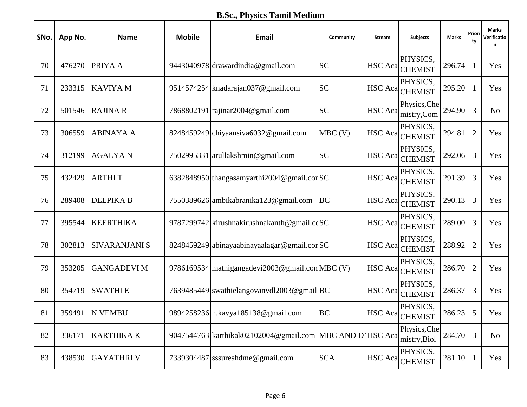**B.Sc., Physics Tamil Medium** 

| SNo. | App No. | <b>Name</b>          | <b>Mobile</b> | Email                                                    | Community  | <b>Stream</b>  | <b>Subjects</b>              | Marks  | Priori<br>ty   | Marks<br>Verificatio<br>n |
|------|---------|----------------------|---------------|----------------------------------------------------------|------------|----------------|------------------------------|--------|----------------|---------------------------|
| 70   | 476270  | PRIYA A              |               | 9443040978 drawardindia@gmail.com                        | <b>SC</b>  |                | PHYSICS,<br>HSC Aca CHEMIST  | 296.74 | 1              | Yes                       |
| 71   | 233315  | <b>KAVIYA M</b>      |               | 9514574254 knadarajan037@gmail.com                       | <b>SC</b>  |                | PHYSICS,<br>HSC Aca CHEMIST  | 295.20 | 1              | Yes                       |
| 72   | 501546  | <b>RAJINA R</b>      |               | 7868802191 rajinar2004@gmail.com                         | <b>SC</b>  | <b>HSC</b> Aca | Physics, Che<br>mistry,Com   | 294.90 | 3              | N <sub>o</sub>            |
| 73   | 306559  | <b>ABINAYA A</b>     |               | 8248459249 chiyaansiva6032@gmail.com                     | $MBC$ (V)  |                | PHYSICS,<br>HSC Aca CHEMIST  | 294.81 | $\overline{2}$ | Yes                       |
| 74   | 312199  | <b>AGALYAN</b>       |               | 7502995331 arullakshmin@gmail.com                        | <b>SC</b>  | <b>HSC</b> Aca | PHYSICS,<br><b>CHEMIST</b>   | 292.06 | 3              | Yes                       |
| 75   | 432429  | <b>ARTHIT</b>        |               | 6382848950 thangasamyarthi 2004 @ gmail.cor SC           |            | <b>HSC</b> Aca | PHYSICS,<br><b>CHEMIST</b>   | 291.39 | 3              | Yes                       |
| 76   | 289408  | <b>DEEPIKA B</b>     |               | 7550389626 ambikabranika123@gmail.com                    | <b>BC</b>  |                | PHYSICS,<br>HSC Aca CHEMIST  | 290.13 | 3              | Yes                       |
| 77   | 395544  | <b>KEERTHIKA</b>     |               | 9787299742 kirushnakirushnakanth@gmail.cdSC              |            | <b>HSC</b> Aca | PHYSICS,<br><b>CHEMIST</b>   | 289.00 | 3              | Yes                       |
| 78   | 302813  | <b>SIVARANJANI S</b> |               | 8248459249 abinayaabinayaalagar@gmail.corSC              |            | <b>HSC</b> Aca | PHYSICS,<br><b>CHEMIST</b>   | 288.92 | $\overline{2}$ | Yes                       |
| 79   | 353205  | <b>GANGADEVI M</b>   |               | 9786169534 mathigangadevi2003@gmail.com MBC (V)          |            |                | PHYSICS,<br>HSC Aca CHEMIST  | 286.70 | $\overline{2}$ | Yes                       |
| 80   | 354719  | <b>SWATHIE</b>       |               | 7639485449 swathielangovanvdl2003@gmail BC               |            | <b>HSC</b> Aca | PHYSICS,<br><b>CHEMIST</b>   | 286.37 | 3              | Yes                       |
| 81   | 359491  | <b>N.VEMBU</b>       |               | 9894258236 n.kavya185138@gmail.com                       | <b>BC</b>  |                | PHYSICS.<br>HSC Aca CHEMIST  | 286.23 | 5              | Yes                       |
| 82   | 336171  | <b>KARTHIKA K</b>    |               | 9047544763 karthikak02102004@gmail.com MBC AND DIHSC Aca |            |                | Physics, Che<br>mistry, Biol | 284.70 | $\overline{3}$ | N <sub>o</sub>            |
| 83   | 438530  | <b>GAYATHRIV</b>     |               | 7339304487 sssureshdme@gmail.com                         | <b>SCA</b> | <b>HSC</b> Aca | PHYSICS,<br><b>CHEMIST</b>   | 281.10 | $\mathbf{1}$   | Yes                       |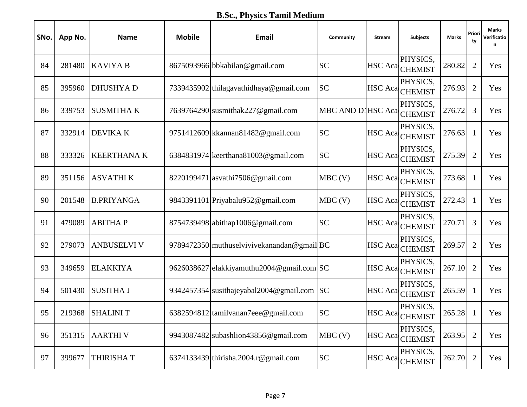**B.Sc., Physics Tamil Medium** 

| SNo. | App No. | <b>Name</b>        | <b>Mobile</b> | Email                                       | Community         | <b>Stream</b>  | <b>Subjects</b>             | Marks  | Priori<br>ty   | <b>Marks</b><br>Verificatio<br>n |
|------|---------|--------------------|---------------|---------------------------------------------|-------------------|----------------|-----------------------------|--------|----------------|----------------------------------|
| 84   | 281480  | <b>KAVIYA B</b>    |               | 8675093966 bbkabilan@gmail.com              | <b>SC</b>         |                | PHYSICS,<br>HSC Aca CHEMIST | 280.82 | $\overline{2}$ | Yes                              |
| 85   | 395960  | <b>DHUSHYAD</b>    |               | 7339435902 thilagavathidhaya@gmail.com      | <b>SC</b>         |                | PHYSICS,<br>HSC Aca CHEMIST | 276.93 | $\overline{2}$ | Yes                              |
| 86   | 339753  | <b>SUSMITHA K</b>  |               | 7639764290 susmithak227@gmail.com           | MBC AND DIHSC Aca |                | PHYSICS,<br><b>CHEMIST</b>  | 276.72 | 3              | Yes                              |
| 87   | 332914  | <b>DEVIKA K</b>    |               | 9751412609 kkannan81482@gmail.com           | <b>SC</b>         | <b>HSC</b> Aca | PHYSICS,<br><b>CHEMIST</b>  | 276.63 | 1              | Yes                              |
| 88   | 333326  | <b>KEERTHANA K</b> |               | 6384831974 keerthana81003@gmail.com         | <b>SC</b>         | <b>HSC</b> Aca | PHYSICS.<br><b>CHEMIST</b>  | 275.39 | $\overline{2}$ | Yes                              |
| 89   | 351156  | <b>ASVATHIK</b>    |               | 8220199471 asvathi 7506@gmail.com           | $MBC$ (V)         | <b>HSC</b> Aca | PHYSICS.<br><b>CHEMIST</b>  | 273.68 | 1              | Yes                              |
| 90   | 201548  | <b>B.PRIYANGA</b>  |               | 9843391101 Priyabalu952@gmail.com           | $MBC$ (V)         |                | PHYSICS,<br>HSC Aca CHEMIST | 272.43 | 1              | Yes                              |
| 91   | 479089  | <b>ABITHAP</b>     |               | 8754739498 abithap1006@gmail.com            | <b>SC</b>         | <b>HSC</b> Aca | PHYSICS,<br><b>CHEMIST</b>  | 270.71 | 3              | Yes                              |
| 92   | 279073  | <b>ANBUSELVI V</b> |               | 9789472350 muthuselvivive kanandan@gmail BC |                   | <b>HSC</b> Aca | PHYSICS,<br><b>CHEMIST</b>  | 269.57 | $\overline{2}$ | Yes                              |
| 93   | 349659  | <b>ELAKKIYA</b>    |               | 9626038627 elakkiyamuthu2004@gmail.com SC   |                   |                | PHYSICS,<br>HSC Aca CHEMIST | 267.10 | $\overline{2}$ | Yes                              |
| 94   | 501430  | <b>SUSITHA J</b>   |               | 9342457354 susithajeyabal2004@gmail.com     | <b>SC</b>         | <b>HSC</b> Aca | PHYSICS.<br><b>CHEMIST</b>  | 265.59 | $\mathbf{1}$   | Yes                              |
| 95   | 219368  | <b>SHALINIT</b>    |               | 6382594812 tamilyanan7eee@gmail.com         | <b>SC</b>         |                | PHYSICS,<br>HSC Aca CHEMIST | 265.28 | -1             | Yes                              |
| 96   | 351315  | <b>AARTHIV</b>     |               | 9943087482 subashlion43856@gmail.com        | $MBC$ (V)         | <b>HSC</b> Aca | PHYSICS,<br><b>CHEMIST</b>  | 263.95 | $\overline{2}$ | Yes                              |
| 97   | 399677  | <b>THIRISHAT</b>   |               | 6374133439 thirisha.2004.r@gmail.com        | ${\rm SC}$        | <b>HSC</b> Aca | PHYSICS,<br><b>CHEMIST</b>  | 262.70 | $\overline{2}$ | Yes                              |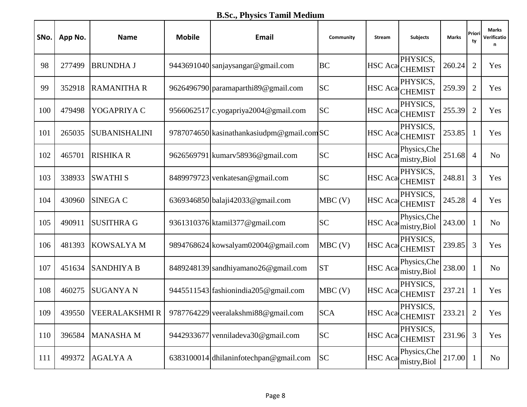**B.Sc., Physics Tamil Medium** 

| SNo. | App No. | <b>Name</b>          | <b>Mobile</b> | Email                                     | Community  | <b>Stream</b>  | <b>Subjects</b>              | Marks  | Priori<br>ty   | <b>Marks</b><br>Verificatio<br>n |
|------|---------|----------------------|---------------|-------------------------------------------|------------|----------------|------------------------------|--------|----------------|----------------------------------|
| 98   | 277499  | <b>BRUNDHA J</b>     |               | 9443691040 sanjaysangar@gmail.com         | <b>BC</b>  | <b>HSC</b> Aca | PHYSICS,<br><b>CHEMIST</b>   | 260.24 | $\overline{2}$ | Yes                              |
| 99   | 352918  | <b>RAMANITHA R</b>   |               | 9626496790 paramaparthi 89@gmail.com      | <b>SC</b>  |                | PHYSICS,<br>HSC Aca CHEMIST  | 259.39 | $\overline{2}$ | Yes                              |
| 100  | 479498  | YOGAPRIYA C          |               | 9566062517 c.yogapriya2004@gmail.com      | <b>SC</b>  | <b>HSC</b> Aca | PHYSICS.<br><b>CHEMIST</b>   | 255.39 | $\overline{2}$ | Yes                              |
| 101  | 265035  | <b>SUBANISHALINI</b> |               | 9787074650 kasinathankasiudpm@gmail.comSC |            | <b>HSC</b> Aca | PHYSICS,<br><b>CHEMIST</b>   | 253.85 | 1              | Yes                              |
| 102  | 465701  | <b>RISHIKA R</b>     |               | 9626569791 kumarv58936@gmail.com          | <b>SC</b>  | <b>HSC</b> Aca | Physics, Che<br>mistry, Biol | 251.68 | $\overline{4}$ | N <sub>o</sub>                   |
| 103  | 338933  | <b>SWATHIS</b>       |               | 8489979723 venkatesan@gmail.com           | <b>SC</b>  | <b>HSC</b> Aca | PHYSICS.<br><b>CHEMIST</b>   | 248.81 | 3              | Yes                              |
| 104  | 430960  | <b>SINEGA C</b>      |               | 6369346850 balaji42033@gmail.com          | $MBC$ (V)  |                | PHYSICS,<br>HSC Aca CHEMIST  | 245.28 | $\overline{4}$ | Yes                              |
| 105  | 490911  | <b>SUSITHRA G</b>    |               | 9361310376 ktamil 377@gmail.com           | <b>SC</b>  | <b>HSC</b> Aca | Physics, Che<br>mistry, Biol | 243.00 | 1              | N <sub>o</sub>                   |
| 106  | 481393  | <b>KOWSALYAM</b>     |               | 9894768624 kowsalyam02004@gmail.com       | $MBC$ (V)  | <b>HSC</b> Aca | PHYSICS,<br><b>CHEMIST</b>   | 239.85 | $\mathfrak{Z}$ | Yes                              |
| 107  | 451634  | <b>SANDHIYA B</b>    |               | 8489248139 sandhiyamano26@gmail.com       | <b>ST</b>  | <b>HSC</b> Aca | Physics, Che<br>mistry, Biol | 238.00 | 1              | N <sub>o</sub>                   |
| 108  | 460275  | <b>SUGANYA N</b>     |               | 9445511543 fashionindia205@gmail.com      | $MBC$ (V)  | <b>HSC</b> Aca | PHYSICS,<br><b>CHEMIST</b>   | 237.21 | $\mathbf{1}$   | Yes                              |
| 109  | 439550  | VEERALAKSHMIR        |               | 9787764229 veeralakshmi 88@gmail.com      | <b>SCA</b> |                | PHYSICS,<br>HSC Aca CHEMIST  | 233.21 | $\overline{2}$ | Yes                              |
| 110  | 396584  | <b>MANASHAM</b>      | 9442933677    | venniladeva30@gmail.com                   | <b>SC</b>  | <b>HSC</b> Aca | PHYSICS,<br><b>CHEMIST</b>   | 231.96 | 3              | Yes                              |
| 111  | 499372  | <b>AGALYA A</b>      |               | 6383100014 dhilaninfotechpan@gmail.com    | <b>SC</b>  | <b>HSC</b> Aca | Physics, Che<br>mistry, Biol | 217.00 | $\mathbf{1}$   | N <sub>0</sub>                   |